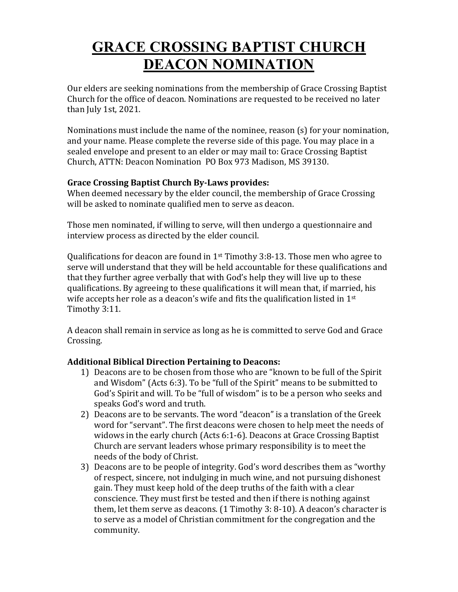## **GRACE CROSSING BAPTIST CHURCH DEACON NOMINATION**

Our elders are seeking nominations from the membership of Grace Crossing Baptist Church for the office of deacon. Nominations are requested to be received no later than July 1st,  $2021$ .

Nominations must include the name of the nominee, reason  $(s)$  for your nomination, and your name. Please complete the reverse side of this page. You may place in a sealed envelope and present to an elder or may mail to: Grace Crossing Baptist Church, ATTN: Deacon Nomination PO Box 973 Madison, MS 39130.

## **Grace Crossing Baptist Church By-Laws provides:**

When deemed necessary by the elder council, the membership of Grace Crossing will be asked to nominate qualified men to serve as deacon.

Those men nominated, if willing to serve, will then undergo a questionnaire and interview process as directed by the elder council.

Qualifications for deacon are found in  $1^{st}$  Timothy 3:8-13. Those men who agree to serve will understand that they will be held accountable for these qualifications and that they further agree verbally that with God's help they will live up to these qualifications. By agreeing to these qualifications it will mean that, if married, his wife accepts her role as a deacon's wife and fits the qualification listed in  $1<sup>st</sup>$ Timothy 3:11. 

A deacon shall remain in service as long as he is committed to serve God and Grace Crossing.

## **Additional Biblical Direction Pertaining to Deacons:**

- 1) Deacons are to be chosen from those who are "known to be full of the Spirit and Wisdom" (Acts 6:3). To be "full of the Spirit" means to be submitted to God's Spirit and will. To be "full of wisdom" is to be a person who seeks and speaks God's word and truth.
- 2) Deacons are to be servants. The word "deacon" is a translation of the Greek word for "servant". The first deacons were chosen to help meet the needs of widows in the early church (Acts 6:1-6). Deacons at Grace Crossing Baptist Church are servant leaders whose primary responsibility is to meet the needs of the body of Christ.
- 3) Deacons are to be people of integrity. God's word describes them as "worthy" of respect, sincere, not indulging in much wine, and not pursuing dishonest gain. They must keep hold of the deep truths of the faith with a clear conscience. They must first be tested and then if there is nothing against them, let them serve as deacons.  $(1$  Timothy 3: 8-10). A deacon's character is to serve as a model of Christian commitment for the congregation and the community.